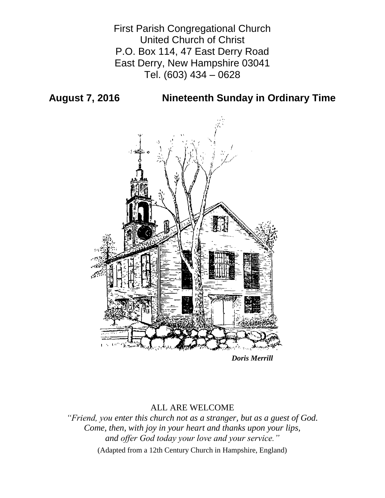First Parish Congregational Church United Church of Christ P.O. Box 114, 47 East Derry Road East Derry, New Hampshire 03041 Tel. (603) 434 – 0628

**August 7, 2016 Nineteenth Sunday in Ordinary Time**



*Doris Merrill*

# ALL ARE WELCOME

*"Friend, you enter this church not as a stranger, but as a guest of God. Come, then, with joy in your heart and thanks upon your lips, and offer God today your love and your service."*

(Adapted from a 12th Century Church in Hampshire, England)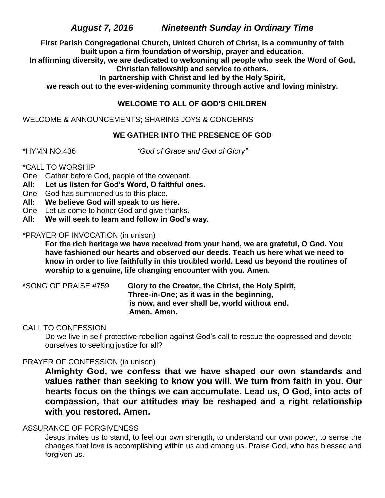*August 7, 2016 Nineteenth Sunday in Ordinary Time*

**First Parish Congregational Church, United Church of Christ, is a community of faith built upon a firm foundation of worship, prayer and education.**

**In affirming diversity, we are dedicated to welcoming all people who seek the Word of God, Christian fellowship and service to others.**

**In partnership with Christ and led by the Holy Spirit,**

**we reach out to the ever-widening community through active and loving ministry.**

## **WELCOME TO ALL OF GOD'S CHILDREN**

WELCOME & ANNOUNCEMENTS; SHARING JOYS & CONCERNS

## **WE GATHER INTO THE PRESENCE OF GOD**

\*HYMN NO.436 *"God of Grace and God of Glory"*

### \*CALL TO WORSHIP

- One: Gather before God, people of the covenant.
- **All: Let us listen for God's Word, O faithful ones.**
- One: God has summoned us to this place.
- **All: We believe God will speak to us here.**
- One: Let us come to honor God and give thanks.
- **All: We will seek to learn and follow in God's way.**

### \*PRAYER OF INVOCATION (in unison)

**For the rich heritage we have received from your hand, we are grateful, O God. You have fashioned our hearts and observed our deeds. Teach us here what we need to know in order to live faithfully in this troubled world. Lead us beyond the routines of worship to a genuine, life changing encounter with you. Amen.**

\*SONG OF PRAISE #759 **Glory to the Creator, the Christ, the Holy Spirit, Three-in-One; as it was in the beginning, is now, and ever shall be, world without end. Amen. Amen.**

### CALL TO CONFESSION

Do we live in self-protective rebellion against God's call to rescue the oppressed and devote ourselves to seeking justice for all?

## PRAYER OF CONFESSION (in unison)

**Almighty God, we confess that we have shaped our own standards and values rather than seeking to know you will. We turn from faith in you. Our hearts focus on the things we can accumulate. Lead us, O God, into acts of compassion, that our attitudes may be reshaped and a right relationship with you restored. Amen.**

### ASSURANCE OF FORGIVENESS

Jesus invites us to stand, to feel our own strength, to understand our own power, to sense the changes that love is accomplishing within us and among us. Praise God, who has blessed and forgiven us.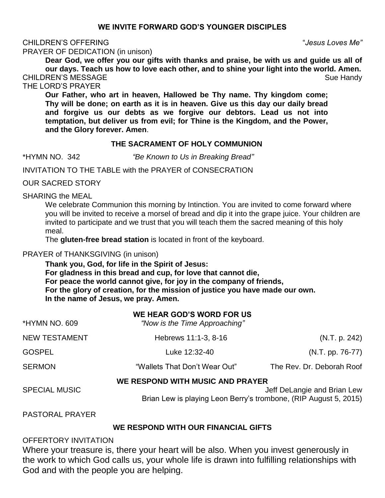CHILDREN'S OFFERING "*Jesus Loves Me"*

PRAYER OF DEDICATION (in unison)

**Dear God, we offer you our gifts with thanks and praise, be with us and guide us all of our days. Teach us how to love each other, and to shine your light into the world. Amen.** CHILDREN'S MESSAGE NEWSPAPE AND SUE HANDY SUE HANDY

THE LORD'S PRAYER

**Our Father, who art in heaven, Hallowed be Thy name. Thy kingdom come; Thy will be done; on earth as it is in heaven. Give us this day our daily bread and forgive us our debts as we forgive our debtors. Lead us not into temptation, but deliver us from evil; for Thine is the Kingdom, and the Power, and the Glory forever. Amen**.

## **THE SACRAMENT OF HOLY COMMUNION**

\*HYMN NO. 342 *"Be Known to Us in Breaking Bread"*

INVITATION TO THE TABLE with the PRAYER of CONSECRATION

OUR SACRED STORY

SHARING the MEAL

We celebrate Communion this morning by Intinction. You are invited to come forward where you will be invited to receive a morsel of bread and dip it into the grape juice. Your children are invited to participate and we trust that you will teach them the sacred meaning of this holy meal.

The **gluten-free bread station** is located in front of the keyboard.

## PRAYER of THANKSGIVING (in unison)

**Thank you, God, for life in the Spirit of Jesus: For gladness in this bread and cup, for love that cannot die, For peace the world cannot give, for joy in the company of friends, For the glory of creation, for the mission of justice you have made our own. In the name of Jesus, we pray. Amen.**

|                                  | WE HEAR GOD'S WORD FOR US     |                           |  |
|----------------------------------|-------------------------------|---------------------------|--|
| *HYMN NO. 609                    | "Now is the Time Approaching" |                           |  |
| <b>NEW TESTAMENT</b>             | Hebrews 11:1-3, 8-16          | (N.T. p. 242)             |  |
| <b>GOSPEL</b>                    | Luke 12:32-40                 | $(N.T. pp. 76-77)$        |  |
| <b>SERMON</b>                    | "Wallets That Don't Wear Out" | The Rev. Dr. Deborah Roof |  |
| WE RESPOND WITH MUSIC AND PRAYER |                               |                           |  |

SPECIAL MUSIC **SPECIAL MUSIC** SPECIAL MUSIC Brian Lew is playing Leon Berry's trombone, (RIP August 5, 2015)

PASTORAL PRAYER

## **WE RESPOND WITH OUR FINANCIAL GIFTS**

## OFFERTORY INVITATION

Where your treasure is, there your heart will be also. When you invest generously in the work to which God calls us, your whole life is drawn into fulfilling relationships with God and with the people you are helping.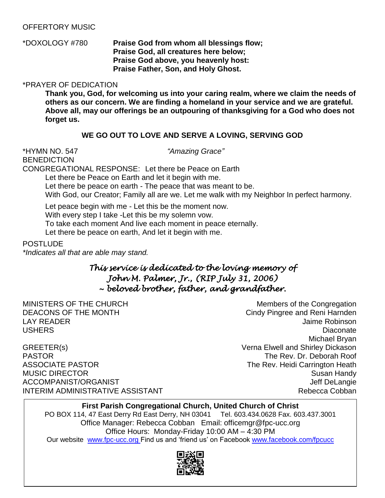### OFFERTORY MUSIC

\*DOXOLOGY #780 **Praise God from whom all blessings flow; Praise God, all creatures here below; Praise God above, you heavenly host: Praise Father, Son, and Holy Ghost.**

### \*PRAYER OF DEDICATION

**Thank you, God, for welcoming us into your caring realm, where we claim the needs of others as our concern. We are finding a homeland in your service and we are grateful. Above all, may our offerings be an outpouring of thanksgiving for a God who does not forget us.**

### **WE GO OUT TO LOVE AND SERVE A LOVING, SERVING GOD**

\*HYMN NO. 547 *"Amazing Grace"* **BENEDICTION** CONGREGATIONAL RESPONSE: Let there be Peace on Earth Let there be Peace on Earth and let it begin with me. Let there be peace on earth - The peace that was meant to be. With God, our Creator; Family all are we. Let me walk with my Neighbor In perfect harmony.

Let peace begin with me - Let this be the moment now. With every step I take -Let this be my solemn vow. To take each moment And live each moment in peace eternally. Let there be peace on earth, And let it begin with me.

POSTLUDE

*\*Indicates all that are able may stand.*

# *This service is dedicated to the loving memory of John M. Palmer, Jr., (RIP July 31, 2006) ~ beloved brother, father, and grandfather.*

GREETER(s) Verna Elwell and Shirley Dickason PASTOR The Rev. Dr. Deborah Roof ASSOCIATE PASTOR **The Rev. Heidi Carrington Heath** MUSIC DIRECTOR Susan Handy ACCOMPANIST/ORGANIST ACCOMPANIST ACCOMPANIST/ORGANIST INTERIM ADMINISTRATIVE ASSISTANT **Rebecca Cobban** 

MINISTERS OF THE CHURCH MINISTERS OF THE CHURCH DEACONS OF THE MONTH CINC CINC CIND CONSERVERSE CONSERVERSE CONSERVERSE PRODUCED AT A CONSERVERSE CONSERVERSE P LAY READER Jaime Robinson USHERS Diaconate Michael Bryan

### **First Parish Congregational Church, United Church of Christ**

PO BOX 114, 47 East Derry Rd East Derry, NH 03041 Tel. 603.434.0628 Fax. 603.437.3001 Office Manager: Rebecca Cobban Email: officemgr@fpc-ucc.org Office Hours: Monday-Friday 10:00 AM – 4:30 PM Our website [www.fpc-ucc.org](http://www.fpc-ucc.org/) Find us and 'friend us' on Facebook [www.facebook.com/fpcucc](http://www.facebook.com/fpcucc)